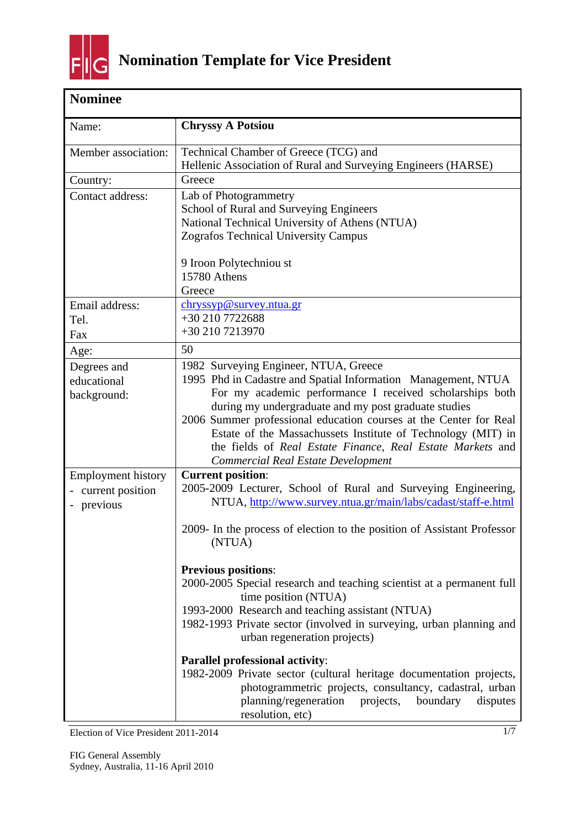

| <b>Nominee</b>                                            |                                                                                                                                                                                                                                                                                                                                                                                                                                                                                                                                                      |
|-----------------------------------------------------------|------------------------------------------------------------------------------------------------------------------------------------------------------------------------------------------------------------------------------------------------------------------------------------------------------------------------------------------------------------------------------------------------------------------------------------------------------------------------------------------------------------------------------------------------------|
| Name:                                                     | <b>Chryssy A Potsiou</b>                                                                                                                                                                                                                                                                                                                                                                                                                                                                                                                             |
| Member association:                                       | Technical Chamber of Greece (TCG) and<br>Hellenic Association of Rural and Surveying Engineers (HARSE)                                                                                                                                                                                                                                                                                                                                                                                                                                               |
| Country:                                                  | Greece                                                                                                                                                                                                                                                                                                                                                                                                                                                                                                                                               |
| Contact address:                                          | Lab of Photogrammetry<br>School of Rural and Surveying Engineers<br>National Technical University of Athens (NTUA)<br><b>Zografos Technical University Campus</b>                                                                                                                                                                                                                                                                                                                                                                                    |
|                                                           | 9 Iroon Polytechniou st<br>15780 Athens<br>Greece                                                                                                                                                                                                                                                                                                                                                                                                                                                                                                    |
| Email address:<br>Tel.<br>Fax                             | chryssyp@survey.ntua.gr<br>+30 210 7722688<br>+30 210 7213970                                                                                                                                                                                                                                                                                                                                                                                                                                                                                        |
| Age:                                                      | 50                                                                                                                                                                                                                                                                                                                                                                                                                                                                                                                                                   |
| Degrees and<br>educational<br>background:                 | 1982 Surveying Engineer, NTUA, Greece<br>1995 Phd in Cadastre and Spatial Information Management, NTUA<br>For my academic performance I received scholarships both<br>during my undergraduate and my post graduate studies<br>2006 Summer professional education courses at the Center for Real<br>Estate of the Massachussets Institute of Technology (MIT) in<br>the fields of Real Estate Finance, Real Estate Markets and<br><b>Commercial Real Estate Development</b>                                                                           |
| <b>Employment history</b><br>current position<br>previous | <b>Current position:</b><br>2005-2009 Lecturer, School of Rural and Surveying Engineering,<br>NTUA, http://www.survey.ntua.gr/main/labs/cadast/staff-e.html<br>2009- In the process of election to the position of Assistant Professor<br>(NTUA)                                                                                                                                                                                                                                                                                                     |
|                                                           | <b>Previous positions:</b><br>2000-2005 Special research and teaching scientist at a permanent full<br>time position (NTUA)<br>1993-2000 Research and teaching assistant (NTUA)<br>1982-1993 Private sector (involved in surveying, urban planning and<br>urban regeneration projects)<br><b>Parallel professional activity:</b><br>1982-2009 Private sector (cultural heritage documentation projects,<br>photogrammetric projects, consultancy, cadastral, urban<br>planning/regeneration<br>projects,<br>boundary<br>disputes<br>resolution, etc) |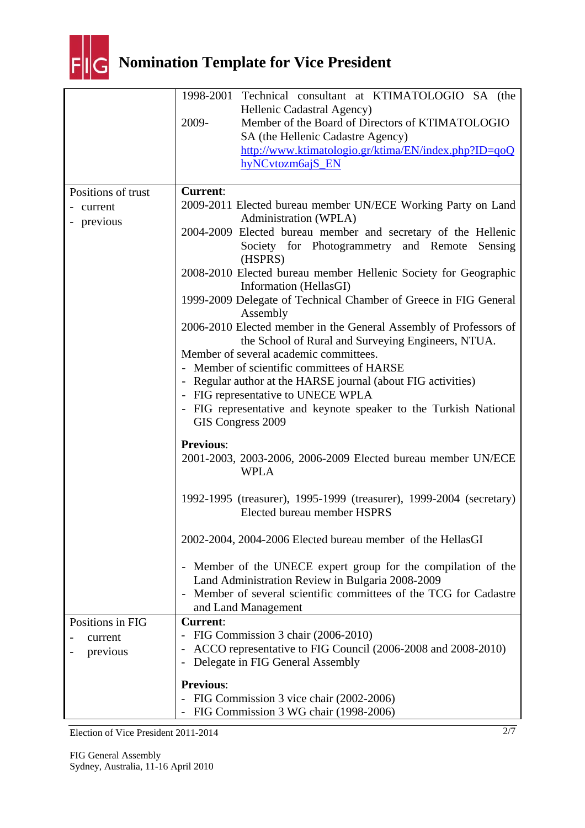

| Hellenic Cadastral Agency)<br>Member of the Board of Directors of KTIMATOLOGIO<br>2009-                           |         |
|-------------------------------------------------------------------------------------------------------------------|---------|
|                                                                                                                   |         |
|                                                                                                                   |         |
| SA (the Hellenic Cadastre Agency)                                                                                 |         |
| http://www.ktimatologio.gr/ktima/EN/index.php?ID=qoQ                                                              |         |
| hyNCvtozm6ajS_EN                                                                                                  |         |
| <b>Current:</b><br>Positions of trust                                                                             |         |
| 2009-2011 Elected bureau member UN/ECE Working Party on Land<br>current                                           |         |
| Administration (WPLA)<br>- previous                                                                               |         |
| 2004-2009 Elected bureau member and secretary of the Hellenic                                                     |         |
| Society for Photogrammetry and Remote<br>(HSPRS)                                                                  | Sensing |
| 2008-2010 Elected bureau member Hellenic Society for Geographic                                                   |         |
| Information (HellasGI)                                                                                            |         |
| 1999-2009 Delegate of Technical Chamber of Greece in FIG General<br>Assembly                                      |         |
| 2006-2010 Elected member in the General Assembly of Professors of                                                 |         |
| the School of Rural and Surveying Engineers, NTUA.                                                                |         |
| Member of several academic committees.                                                                            |         |
| Member of scientific committees of HARSE                                                                          |         |
| - Regular author at the HARSE journal (about FIG activities)                                                      |         |
| - FIG representative to UNECE WPLA                                                                                |         |
| - FIG representative and keynote speaker to the Turkish National<br>GIS Congress 2009                             |         |
| <b>Previous:</b>                                                                                                  |         |
| 2001-2003, 2003-2006, 2006-2009 Elected bureau member UN/ECE<br><b>WPLA</b>                                       |         |
| 1992-1995 (treasurer), 1995-1999 (treasurer), 1999-2004 (secretary)<br>Elected bureau member HSPRS                |         |
| 2002-2004, 2004-2006 Elected bureau member of the HellasGI                                                        |         |
| - Member of the UNECE expert group for the compilation of the<br>Land Administration Review in Bulgaria 2008-2009 |         |
| Member of several scientific committees of the TCG for Cadastre                                                   |         |
| and Land Management<br><b>Current:</b>                                                                            |         |
| Positions in FIG<br>- FIG Commission 3 chair (2006-2010)                                                          |         |
| current<br>ACCO representative to FIG Council (2006-2008 and 2008-2010)                                           |         |
| previous<br>Delegate in FIG General Assembly<br>$\qquad \qquad -$                                                 |         |
| <b>Previous:</b>                                                                                                  |         |
| FIG Commission 3 vice chair (2002-2006)                                                                           |         |
| FIG Commission 3 WG chair (1998-2006)                                                                             |         |

Election of Vice President 2011-2014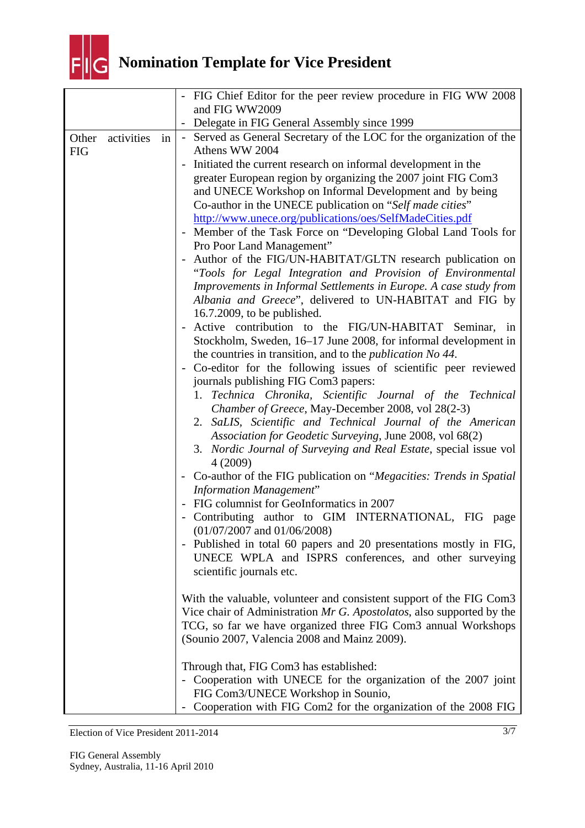

|            |            |    | FIG Chief Editor for the peer review procedure in FIG WW 2008<br>and FIG WW2009                                                                                                                                                                                                                                                                                                                                                                                                                                                                                                                                                                                                                                                                                                                                                                           |
|------------|------------|----|-----------------------------------------------------------------------------------------------------------------------------------------------------------------------------------------------------------------------------------------------------------------------------------------------------------------------------------------------------------------------------------------------------------------------------------------------------------------------------------------------------------------------------------------------------------------------------------------------------------------------------------------------------------------------------------------------------------------------------------------------------------------------------------------------------------------------------------------------------------|
|            |            |    | Delegate in FIG General Assembly since 1999                                                                                                                                                                                                                                                                                                                                                                                                                                                                                                                                                                                                                                                                                                                                                                                                               |
| Other      | activities | in | - Served as General Secretary of the LOC for the organization of the<br>Athens WW 2004                                                                                                                                                                                                                                                                                                                                                                                                                                                                                                                                                                                                                                                                                                                                                                    |
| <b>FIG</b> |            |    | Initiated the current research on informal development in the<br>greater European region by organizing the 2007 joint FIG Com3<br>and UNECE Workshop on Informal Development and by being<br>Co-author in the UNECE publication on "Self made cities"<br>http://www.unece.org/publications/oes/SelfMadeCities.pdf<br>Member of the Task Force on "Developing Global Land Tools for<br>Pro Poor Land Management"<br>Author of the FIG/UN-HABITAT/GLTN research publication on<br>"Tools for Legal Integration and Provision of Environmental<br>Improvements in Informal Settlements in Europe. A case study from<br>Albania and Greece", delivered to UN-HABITAT and FIG by                                                                                                                                                                               |
|            |            |    | $16.7.2009$ , to be published.<br>Active contribution to the FIG/UN-HABITAT Seminar,<br>in<br>Stockholm, Sweden, 16–17 June 2008, for informal development in<br>the countries in transition, and to the <i>publication No 44</i> .<br>Co-editor for the following issues of scientific peer reviewed<br>journals publishing FIG Com3 papers:<br>1. Technica Chronika, Scientific Journal of the Technical<br>Chamber of Greece, May-December 2008, vol 28(2-3)<br>2. SaLIS, Scientific and Technical Journal of the American<br>Association for Geodetic Surveying, June 2008, vol 68(2)<br>3. Nordic Journal of Surveying and Real Estate, special issue vol<br>4(2009)<br>Co-author of the FIG publication on "Megacities: Trends in Spatial<br>$\overline{\phantom{0}}$<br><b>Information Management"</b><br>FIG columnist for GeoInformatics in 2007 |
|            |            |    | Contributing author to GIM INTERNATIONAL, FIG page<br>$(01/07/2007$ and $01/06/2008)$<br>- Published in total 60 papers and 20 presentations mostly in FIG,<br>UNECE WPLA and ISPRS conferences, and other surveying<br>scientific journals etc.                                                                                                                                                                                                                                                                                                                                                                                                                                                                                                                                                                                                          |
|            |            |    | With the valuable, volunteer and consistent support of the FIG Com3<br>Vice chair of Administration Mr G. Apostolatos, also supported by the<br>TCG, so far we have organized three FIG Com3 annual Workshops<br>(Sounio 2007, Valencia 2008 and Mainz 2009).                                                                                                                                                                                                                                                                                                                                                                                                                                                                                                                                                                                             |
|            |            |    | Through that, FIG Com3 has established:<br>Cooperation with UNECE for the organization of the 2007 joint<br>FIG Com3/UNECE Workshop in Sounio,<br>Cooperation with FIG Com2 for the organization of the 2008 FIG                                                                                                                                                                                                                                                                                                                                                                                                                                                                                                                                                                                                                                          |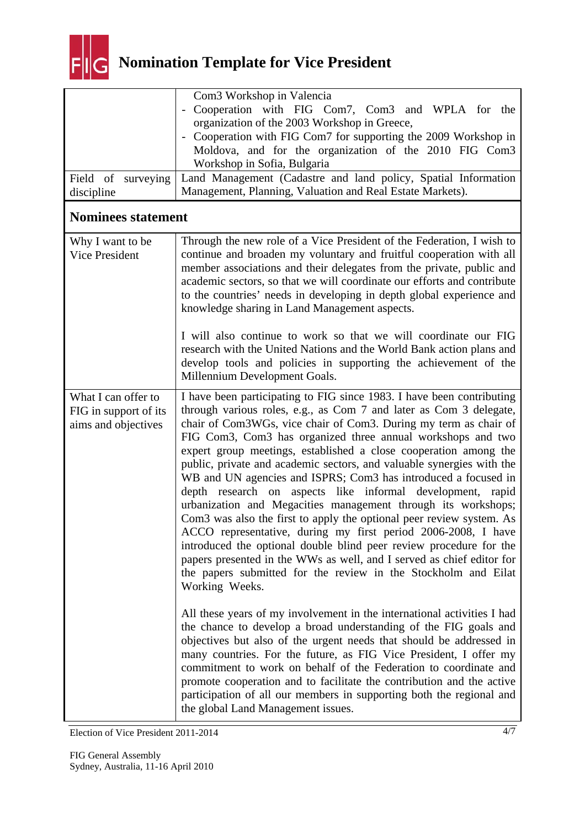

| Field of surveying<br>discipline                                    | Com <sub>3</sub> Workshop in Valencia<br>Cooperation with FIG Com7, Com3 and WPLA for the<br>organization of the 2003 Workshop in Greece,<br>Cooperation with FIG Com7 for supporting the 2009 Workshop in<br>Moldova, and for the organization of the 2010 FIG Com3<br>Workshop in Sofia, Bulgaria<br>Land Management (Cadastre and land policy, Spatial Information<br>Management, Planning, Valuation and Real Estate Markets).                                                                                                                                                                                                                                                                                                                                                                                                                                                                                                                                                                                                                                                                                                                                                                                                                                                                                                                                                                                                                                                                                                                             |
|---------------------------------------------------------------------|----------------------------------------------------------------------------------------------------------------------------------------------------------------------------------------------------------------------------------------------------------------------------------------------------------------------------------------------------------------------------------------------------------------------------------------------------------------------------------------------------------------------------------------------------------------------------------------------------------------------------------------------------------------------------------------------------------------------------------------------------------------------------------------------------------------------------------------------------------------------------------------------------------------------------------------------------------------------------------------------------------------------------------------------------------------------------------------------------------------------------------------------------------------------------------------------------------------------------------------------------------------------------------------------------------------------------------------------------------------------------------------------------------------------------------------------------------------------------------------------------------------------------------------------------------------|
| <b>Nominees statement</b>                                           |                                                                                                                                                                                                                                                                                                                                                                                                                                                                                                                                                                                                                                                                                                                                                                                                                                                                                                                                                                                                                                                                                                                                                                                                                                                                                                                                                                                                                                                                                                                                                                |
| Why I want to be<br>Vice President                                  | Through the new role of a Vice President of the Federation, I wish to<br>continue and broaden my voluntary and fruitful cooperation with all<br>member associations and their delegates from the private, public and<br>academic sectors, so that we will coordinate our efforts and contribute<br>to the countries' needs in developing in depth global experience and<br>knowledge sharing in Land Management aspects.<br>I will also continue to work so that we will coordinate our FIG<br>research with the United Nations and the World Bank action plans and                                                                                                                                                                                                                                                                                                                                                                                                                                                                                                                                                                                                                                                                                                                                                                                                                                                                                                                                                                                            |
|                                                                     | develop tools and policies in supporting the achievement of the<br>Millennium Development Goals.                                                                                                                                                                                                                                                                                                                                                                                                                                                                                                                                                                                                                                                                                                                                                                                                                                                                                                                                                                                                                                                                                                                                                                                                                                                                                                                                                                                                                                                               |
| What I can offer to<br>FIG in support of its<br>aims and objectives | I have been participating to FIG since 1983. I have been contributing<br>through various roles, e.g., as Com 7 and later as Com 3 delegate,<br>chair of Com3WGs, vice chair of Com3. During my term as chair of<br>FIG Com3, Com3 has organized three annual workshops and two<br>expert group meetings, established a close cooperation among the<br>public, private and academic sectors, and valuable synergies with the<br>WB and UN agencies and ISPRS; Com3 has introduced a focused in<br>depth research on aspects like informal development, rapid<br>urbanization and Megacities management through its workshops;<br>Com3 was also the first to apply the optional peer review system. As<br>ACCO representative, during my first period 2006-2008, I have<br>introduced the optional double blind peer review procedure for the<br>papers presented in the WWs as well, and I served as chief editor for<br>the papers submitted for the review in the Stockholm and Eilat<br>Working Weeks.<br>All these years of my involvement in the international activities I had<br>the chance to develop a broad understanding of the FIG goals and<br>objectives but also of the urgent needs that should be addressed in<br>many countries. For the future, as FIG Vice President, I offer my<br>commitment to work on behalf of the Federation to coordinate and<br>promote cooperation and to facilitate the contribution and the active<br>participation of all our members in supporting both the regional and<br>the global Land Management issues. |

Election of Vice President 2011-2014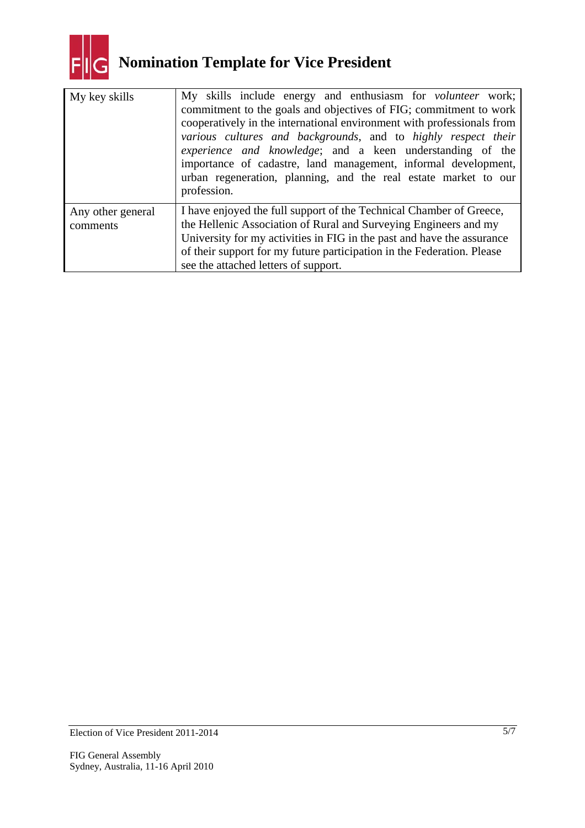

| My key skills                 | My skills include energy and enthusiasm for <i>volunteer</i> work;<br>commitment to the goals and objectives of FIG; commitment to work<br>cooperatively in the international environment with professionals from<br>various cultures and backgrounds, and to highly respect their<br><i>experience and knowledge</i> ; and a keen understanding of the<br>importance of cadastre, land management, informal development,<br>urban regeneration, planning, and the real estate market to our<br>profession. |  |
|-------------------------------|-------------------------------------------------------------------------------------------------------------------------------------------------------------------------------------------------------------------------------------------------------------------------------------------------------------------------------------------------------------------------------------------------------------------------------------------------------------------------------------------------------------|--|
| Any other general<br>comments | I have enjoyed the full support of the Technical Chamber of Greece,<br>the Hellenic Association of Rural and Surveying Engineers and my<br>University for my activities in FIG in the past and have the assurance<br>of their support for my future participation in the Federation. Please<br>see the attached letters of support.                                                                                                                                                                         |  |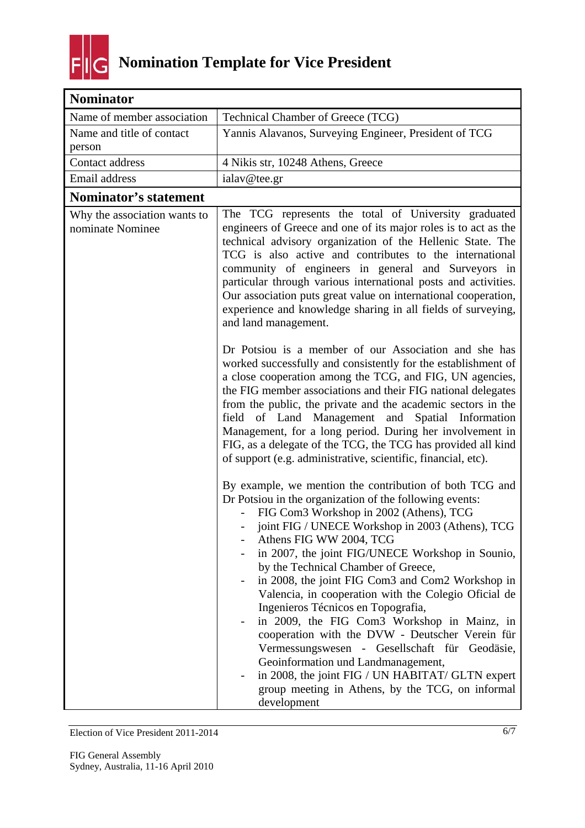

| <b>Nominator</b>                                 |                                                                                                                                                                                                                                                                                                                                                                                                                                                                                                                                                                                                                                                                                                                                                                                                           |
|--------------------------------------------------|-----------------------------------------------------------------------------------------------------------------------------------------------------------------------------------------------------------------------------------------------------------------------------------------------------------------------------------------------------------------------------------------------------------------------------------------------------------------------------------------------------------------------------------------------------------------------------------------------------------------------------------------------------------------------------------------------------------------------------------------------------------------------------------------------------------|
| Name of member association                       | Technical Chamber of Greece (TCG)                                                                                                                                                                                                                                                                                                                                                                                                                                                                                                                                                                                                                                                                                                                                                                         |
| Name and title of contact<br>person              | Yannis Alavanos, Surveying Engineer, President of TCG                                                                                                                                                                                                                                                                                                                                                                                                                                                                                                                                                                                                                                                                                                                                                     |
| Contact address                                  | 4 Nikis str, 10248 Athens, Greece                                                                                                                                                                                                                                                                                                                                                                                                                                                                                                                                                                                                                                                                                                                                                                         |
| Email address                                    | ialav@tee.gr                                                                                                                                                                                                                                                                                                                                                                                                                                                                                                                                                                                                                                                                                                                                                                                              |
| Nominator's statement                            |                                                                                                                                                                                                                                                                                                                                                                                                                                                                                                                                                                                                                                                                                                                                                                                                           |
| Why the association wants to<br>nominate Nominee | The TCG represents the total of University graduated<br>engineers of Greece and one of its major roles is to act as the<br>technical advisory organization of the Hellenic State. The<br>TCG is also active and contributes to the international<br>community of engineers in general and Surveyors in<br>particular through various international posts and activities.<br>Our association puts great value on international cooperation,<br>experience and knowledge sharing in all fields of surveying,<br>and land management.                                                                                                                                                                                                                                                                        |
|                                                  | Dr Potsiou is a member of our Association and she has<br>worked successfully and consistently for the establishment of<br>a close cooperation among the TCG, and FIG, UN agencies,<br>the FIG member associations and their FIG national delegates<br>from the public, the private and the academic sectors in the<br>field of Land Management and Spatial Information<br>Management, for a long period. During her involvement in<br>FIG, as a delegate of the TCG, the TCG has provided all kind<br>of support (e.g. administrative, scientific, financial, etc).                                                                                                                                                                                                                                       |
|                                                  | By example, we mention the contribution of both TCG and<br>Dr Potsiou in the organization of the following events:<br>FIG Com3 Workshop in 2002 (Athens), TCG<br>joint FIG / UNECE Workshop in 2003 (Athens), TCG<br>Athens FIG WW 2004, TCG<br>in 2007, the joint FIG/UNECE Workshop in Sounio,<br>by the Technical Chamber of Greece,<br>in 2008, the joint FIG Com3 and Com2 Workshop in<br>Valencia, in cooperation with the Colegio Oficial de<br>Ingenieros Técnicos en Topografia,<br>in 2009, the FIG Com3 Workshop in Mainz, in<br>cooperation with the DVW - Deutscher Verein für<br>Vermessungswesen - Gesellschaft für Geodäsie,<br>Geoinformation und Landmanagement,<br>in 2008, the joint FIG / UN HABITAT/ GLTN expert<br>group meeting in Athens, by the TCG, on informal<br>development |

Election of Vice President 2011-2014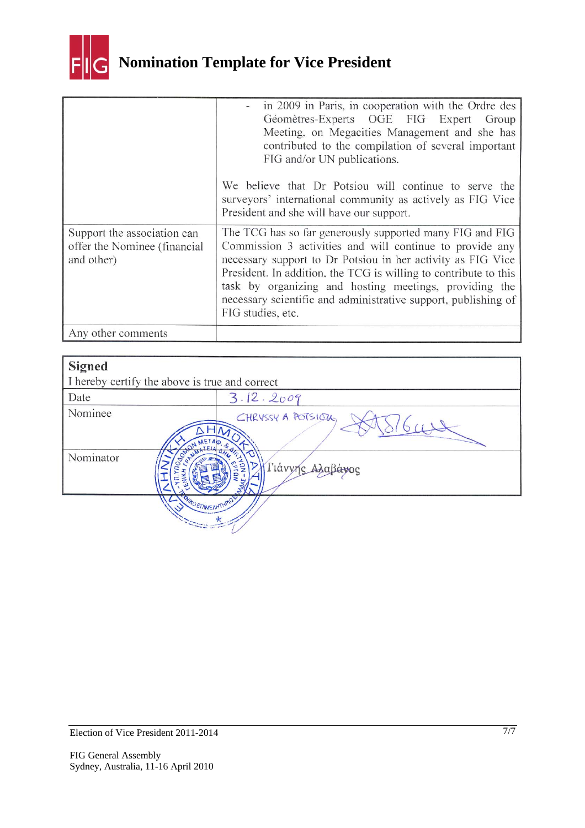

|                                                                           | in 2009 in Paris, in cooperation with the Ordre des<br>Géomètres-Experts OGE FIG Expert<br>Group<br>Meeting, on Megacities Management and she has<br>contributed to the compilation of several important<br>FIG and/or UN publications.                                                                                                                                                                  |
|---------------------------------------------------------------------------|----------------------------------------------------------------------------------------------------------------------------------------------------------------------------------------------------------------------------------------------------------------------------------------------------------------------------------------------------------------------------------------------------------|
|                                                                           | We believe that Dr Potsiou will continue to serve the<br>surveyors' international community as actively as FIG Vice<br>President and she will have our support.                                                                                                                                                                                                                                          |
| Support the association can<br>offer the Nominee (financial<br>and other) | The TCG has so far generously supported many FIG and FIG<br>Commission 3 activities and will continue to provide any<br>necessary support to Dr Potsiou in her activity as FIG Vice<br>President. In addition, the TCG is willing to contribute to this<br>task by organizing and hosting meetings, providing the<br>necessary scientific and administrative support, publishing of<br>FIG studies, etc. |
| Any other comments                                                        |                                                                                                                                                                                                                                                                                                                                                                                                          |

| <b>Signed</b>                                  |                    |
|------------------------------------------------|--------------------|
| I hereby certify the above is true and correct |                    |
| Date                                           | 3.12.2009          |
| Nominee<br>METAD                               | CHRYSSY A POTSIOUS |
| Nominator                                      | Γιάννης Αλαβά      |
| <b>WIKO ENIMENATHPIO</b>                       |                    |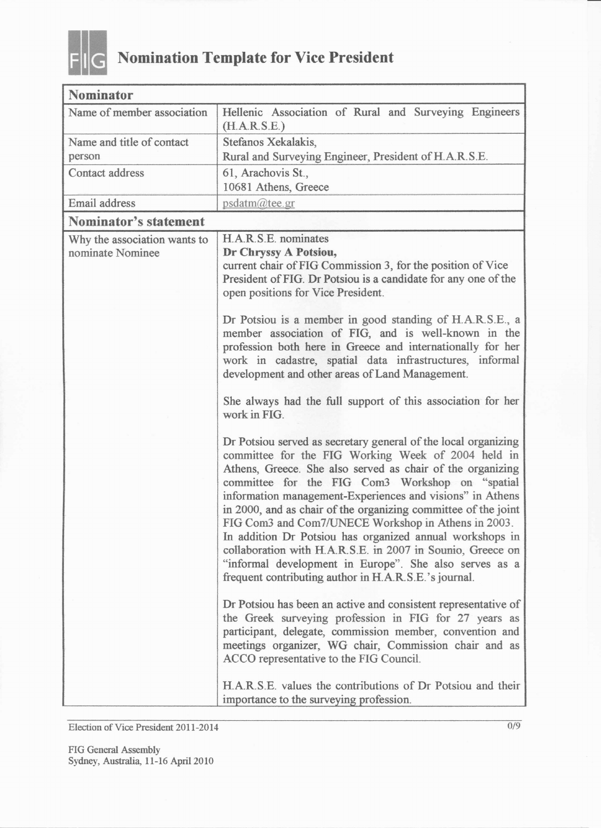

| <b>Nominator</b>                                 |                                                                                                                                                                                                                                                                                                                                                                                                                                                                                                                                                                                                                                                                                                                                                                                                                                                                                                                                                                                                                                                                                                                                                                                                                                                                                                                                                                                                                                                                                                                                                                            |
|--------------------------------------------------|----------------------------------------------------------------------------------------------------------------------------------------------------------------------------------------------------------------------------------------------------------------------------------------------------------------------------------------------------------------------------------------------------------------------------------------------------------------------------------------------------------------------------------------------------------------------------------------------------------------------------------------------------------------------------------------------------------------------------------------------------------------------------------------------------------------------------------------------------------------------------------------------------------------------------------------------------------------------------------------------------------------------------------------------------------------------------------------------------------------------------------------------------------------------------------------------------------------------------------------------------------------------------------------------------------------------------------------------------------------------------------------------------------------------------------------------------------------------------------------------------------------------------------------------------------------------------|
| Name of member association                       | Hellenic Association of Rural and Surveying Engineers<br>(H.A.R.S.E.)                                                                                                                                                                                                                                                                                                                                                                                                                                                                                                                                                                                                                                                                                                                                                                                                                                                                                                                                                                                                                                                                                                                                                                                                                                                                                                                                                                                                                                                                                                      |
| Name and title of contact                        | Stefanos Xekalakis,                                                                                                                                                                                                                                                                                                                                                                                                                                                                                                                                                                                                                                                                                                                                                                                                                                                                                                                                                                                                                                                                                                                                                                                                                                                                                                                                                                                                                                                                                                                                                        |
| person                                           | Rural and Surveying Engineer, President of H.A.R.S.E.                                                                                                                                                                                                                                                                                                                                                                                                                                                                                                                                                                                                                                                                                                                                                                                                                                                                                                                                                                                                                                                                                                                                                                                                                                                                                                                                                                                                                                                                                                                      |
| Contact address                                  | 61, Arachovis St.,                                                                                                                                                                                                                                                                                                                                                                                                                                                                                                                                                                                                                                                                                                                                                                                                                                                                                                                                                                                                                                                                                                                                                                                                                                                                                                                                                                                                                                                                                                                                                         |
|                                                  | 10681 Athens, Greece                                                                                                                                                                                                                                                                                                                                                                                                                                                                                                                                                                                                                                                                                                                                                                                                                                                                                                                                                                                                                                                                                                                                                                                                                                                                                                                                                                                                                                                                                                                                                       |
| Email address                                    | psdatm@tee.gr                                                                                                                                                                                                                                                                                                                                                                                                                                                                                                                                                                                                                                                                                                                                                                                                                                                                                                                                                                                                                                                                                                                                                                                                                                                                                                                                                                                                                                                                                                                                                              |
| Nominator's statement                            |                                                                                                                                                                                                                                                                                                                                                                                                                                                                                                                                                                                                                                                                                                                                                                                                                                                                                                                                                                                                                                                                                                                                                                                                                                                                                                                                                                                                                                                                                                                                                                            |
| Why the association wants to<br>nominate Nominee | H.A.R.S.E. nominates<br>Dr Chryssy A Potsiou,<br>current chair of FIG Commission 3, for the position of Vice<br>President of FIG. Dr Potsiou is a candidate for any one of the<br>open positions for Vice President.<br>Dr Potsiou is a member in good standing of H.A.R.S.E., a<br>member association of FIG, and is well-known in the<br>profession both here in Greece and internationally for her<br>work in cadastre, spatial data infrastructures, informal<br>development and other areas of Land Management.<br>She always had the full support of this association for her<br>work in FIG.<br>Dr Potsiou served as secretary general of the local organizing<br>committee for the FIG Working Week of 2004 held in<br>Athens, Greece. She also served as chair of the organizing<br>committee for the FIG Com3 Workshop on "spatial<br>information management-Experiences and visions" in Athens<br>in 2000, and as chair of the organizing committee of the joint<br>FIG Com3 and Com7/UNECE Workshop in Athens in 2003.<br>In addition Dr Potsiou has organized annual workshops in<br>collaboration with H.A.R.S.E. in 2007 in Sounio, Greece on<br>"informal development in Europe". She also serves as a<br>frequent contributing author in H.A.R.S.E.'s journal.<br>Dr Potsiou has been an active and consistent representative of<br>the Greek surveying profession in FIG for 27 years as<br>participant, delegate, commission member, convention and<br>meetings organizer, WG chair, Commission chair and as<br>ACCO representative to the FIG Council. |
|                                                  | H.A.R.S.E. values the contributions of Dr Potsiou and their<br>importance to the surveying profession.                                                                                                                                                                                                                                                                                                                                                                                                                                                                                                                                                                                                                                                                                                                                                                                                                                                                                                                                                                                                                                                                                                                                                                                                                                                                                                                                                                                                                                                                     |

Election of Vice President 2011-2014